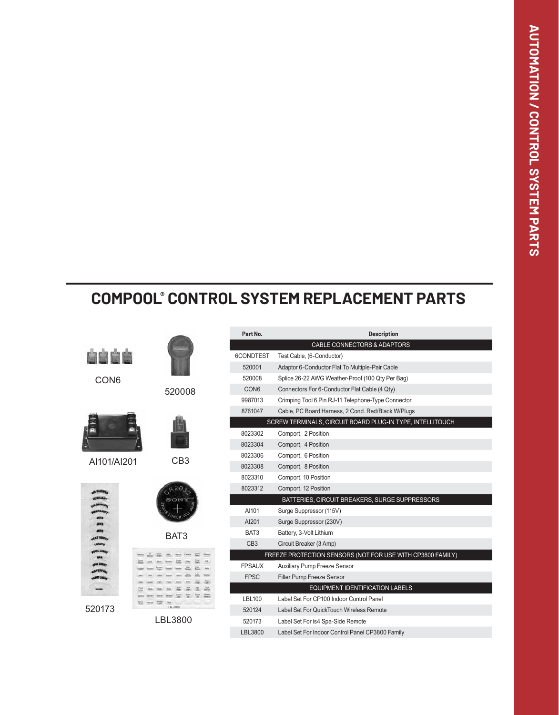## **COMPOOL® CONTROL SYSTEM REPLACEMENT PARTS**



CON6



AI101/AI201 CB3

520173



520008

BAT3



LBL3800

| Part No.         | <b>Description</b>                                         |
|------------------|------------------------------------------------------------|
|                  | <b>CABLE CONNECTORS &amp; ADAPTORS</b>                     |
| 6CONDTEST        | Test Cable, (6-Conductor)                                  |
| 520001           | Adaptor 6-Conductor Flat To Multiple-Pair Cable            |
| 520008           | Splice 26-22 AWG Weather-Proof (100 Qty Per Bag)           |
| CON <sub>6</sub> | Connectors For 6-Conductor Flat Cable (4 Qty)              |
| 9987013          | Crimping Tool 6 Pin RJ-11 Telephone-Type Connector         |
| 8761047          | Cable, PC Board Harness, 2 Cond. Red/Black W/Plugs         |
|                  | SCREW TERMINALS, CIRCUIT BOARD PLUG-IN TYPE, INTELLITOUCH  |
| 8023302          | Comport, 2 Position                                        |
| 8023304          | Comport, 4 Position                                        |
| 8023306          | Comport, 6 Position                                        |
| 8023308          | Comport, 8 Position                                        |
| 8023310          | Comport, 10 Position                                       |
| 8023312          | Comport, 12 Position                                       |
|                  | BATTERIES, CIRCUIT BREAKERS, SURGE SUPPRESSORS             |
| AI101            | Surge Suppressor (115V)                                    |
| AI201            | Surge Suppressor (230V)                                    |
| BAT3             | Battery, 3-Volt Lithium                                    |
| CB <sub>3</sub>  | Circuit Breaker (3 Amp)                                    |
|                  | FREEZE PROTECTION SENSORS (NOT FOR USE WITH CP3800 FAMILY) |
| <b>FPSAUX</b>    | Auxiliary Pump Freeze Sensor                               |
| <b>FPSC</b>      | <b>Filter Pump Freeze Sensor</b>                           |
|                  | <b>EQUIPMENT IDENTIFICATION LABELS</b>                     |
| <b>LBL100</b>    | Label Set For CP100 Indoor Control Panel                   |
| 520124           | Label Set For QuickTouch Wireless Remote                   |
| 520173           | Label Set For is4 Spa-Side Remote                          |
| LBL3800          | Label Set For Indoor Control Panel CP3800 Family           |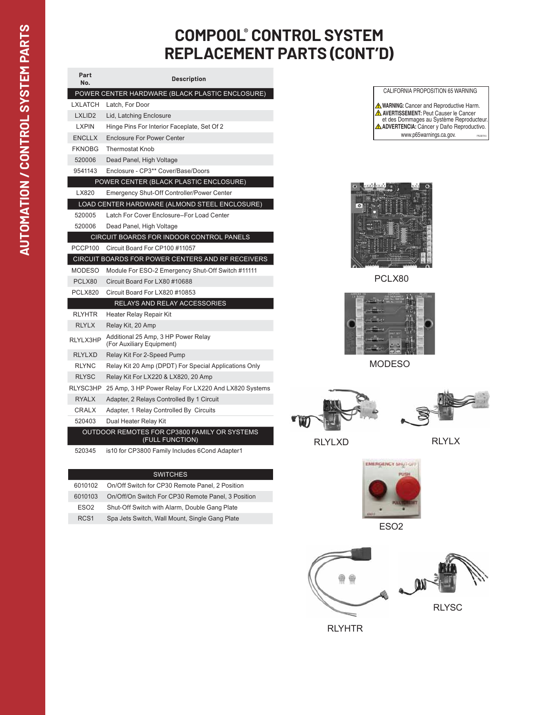## **COMPOOL® CONTROL SYSTEM REPLACEMENT PARTS (CONT'D)**

| Part<br>No.                                     | <b>Description</b>                                               |  |  |  |  |
|-------------------------------------------------|------------------------------------------------------------------|--|--|--|--|
| POWER CENTER HARDWARE (BLACK PLASTIC ENCLOSURE) |                                                                  |  |  |  |  |
| <b>LXLATCH</b>                                  | Latch, For Door                                                  |  |  |  |  |
| LXLID <sub>2</sub>                              | Lid, Latching Enclosure                                          |  |  |  |  |
| <b>LXPIN</b>                                    | Hinge Pins For Interior Faceplate, Set Of 2                      |  |  |  |  |
| <b>ENCLLX</b>                                   | <b>Enclosure For Power Center</b>                                |  |  |  |  |
| <b>FKNOBG</b>                                   | <b>Thermostat Knob</b>                                           |  |  |  |  |
| 520006                                          | Dead Panel, High Voltage                                         |  |  |  |  |
| 9541143                                         | Enclosure - CP3** Cover/Base/Doors                               |  |  |  |  |
|                                                 | POWER CENTER (BLACK PLASTIC ENCLOSURE)                           |  |  |  |  |
| LX820                                           | Emergency Shut-Off Controller/Power Center                       |  |  |  |  |
|                                                 | LOAD CENTER HARDWARE (ALMOND STEEL ENCLOSURE)                    |  |  |  |  |
| 520005                                          | Latch For Cover Enclosure-For Load Center                        |  |  |  |  |
| 520006                                          | Dead Panel, High Voltage                                         |  |  |  |  |
|                                                 | CIRCUIT BOARDS FOR INDOOR CONTROL PANELS                         |  |  |  |  |
| <b>PCCP100</b>                                  | Circuit Board For CP100 #11057                                   |  |  |  |  |
|                                                 | CIRCUIT BOARDS FOR POWER CENTERS AND RF RECEIVERS                |  |  |  |  |
| MODESO                                          | Module For ESO-2 Emergency Shut-Off Switch #11111                |  |  |  |  |
| PCLX80                                          | Circuit Board For LX80 #10688                                    |  |  |  |  |
| <b>PCLX820</b>                                  | Circuit Board For LX820 #10853                                   |  |  |  |  |
|                                                 | RELAYS AND RELAY ACCESSORIES                                     |  |  |  |  |
| <b>RLYHTR</b>                                   | Heater Relay Repair Kit                                          |  |  |  |  |
| <b>RLYLX</b>                                    | Relay Kit, 20 Amp                                                |  |  |  |  |
| RLYLX3HP                                        | Additional 25 Amp, 3 HP Power Relay<br>(For Auxiliary Equipment) |  |  |  |  |
| <b>RLYLXD</b>                                   | Relay Kit For 2-Speed Pump                                       |  |  |  |  |
| <b>RLYNC</b>                                    | Relay Kit 20 Amp (DPDT) For Special Applications Only            |  |  |  |  |
| <b>RLYSC</b>                                    | Relay Kit For LX220 & LX820, 20 Amp                              |  |  |  |  |
| RLYSC3HP                                        | 25 Amp, 3 HP Power Relay For LX220 And LX820 Systems             |  |  |  |  |
| <b>RYALX</b>                                    | Adapter, 2 Relays Controlled By 1 Circuit                        |  |  |  |  |
| CRALX                                           | Adapter, 1 Relay Controlled By Circuits                          |  |  |  |  |
| 520403                                          | Dual Heater Relay Kit                                            |  |  |  |  |
|                                                 | OUTDOOR REMOTES FOR CP3800 FAMILY OR SYSTEMS<br>(FULL FUNCTION)  |  |  |  |  |
|                                                 |                                                                  |  |  |  |  |

520345 is10 for CP3800 Family Includes 6Cond Adapter1

| <b>SWITCHES</b>   |                                                    |  |  |  |  |  |
|-------------------|----------------------------------------------------|--|--|--|--|--|
| 6010102           | On/Off Switch for CP30 Remote Panel, 2 Position    |  |  |  |  |  |
| 6010103           | On/Off/On Switch For CP30 Remote Panel, 3 Position |  |  |  |  |  |
| ES <sub>O</sub> 2 | Shut-Off Switch with Alarm, Double Gang Plate      |  |  |  |  |  |
| RCS <sub>1</sub>  | Spa Jets Switch, Wall Mount, Single Gang Plate     |  |  |  |  |  |

CALIFORNIA PROPOSITION 65 WARNING

**WARNING:** Cancer and Reproductive Harm. www.p65warnings.ca.gov. **PWW.p65warnings.ca.gov. ADVERTENCIA:** Cáncer y Daño Reproductivo. **AVERTISSEMENT:** Peut Causer le Cancer et des Dommages au Système Reproducteur.



PCLX80



MODESO



RLYLXD RLYLX